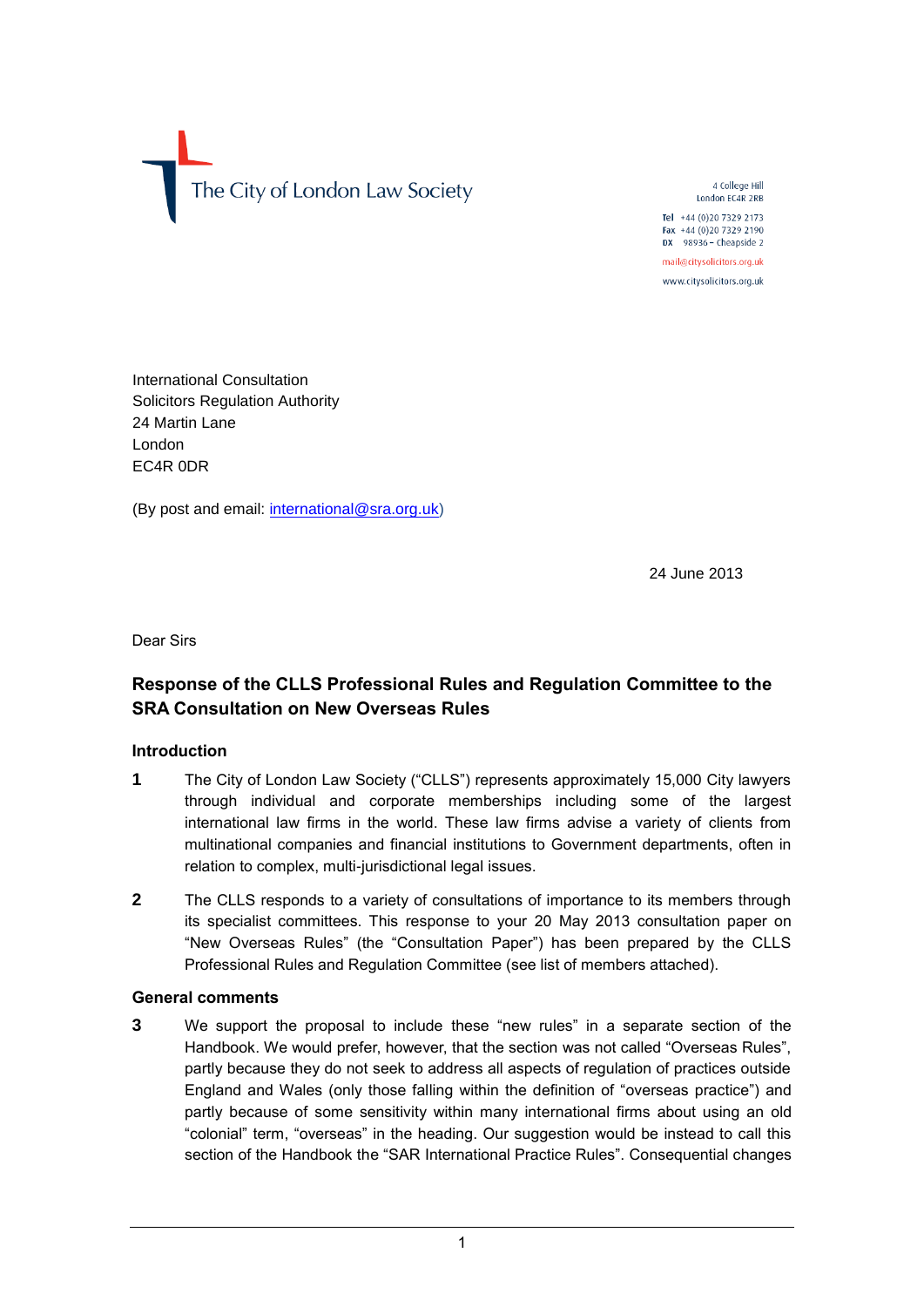The City of London Law Society

4 College Hill London EC4R 2RB

Tel +44 (0)20 7329 2173 Fax +44 (0)20 7329 2190 DX 98936 - Cheapside 2 mail@citysolicitors.org.uk

www.citysolicitors.org.uk

International Consultation Solicitors Regulation Authority 24 Martin Lane London EC4R 0DR

(By post and email: [international@sra.org.uk\)](mailto:international@sra.org.uk)

24 June 2013

Dear Sirs

# **Response of the CLLS Professional Rules and Regulation Committee to the SRA Consultation on New Overseas Rules**

## **Introduction**

- **1** The City of London Law Society ("CLLS") represents approximately 15,000 City lawyers through individual and corporate memberships including some of the largest international law firms in the world. These law firms advise a variety of clients from multinational companies and financial institutions to Government departments, often in relation to complex, multi-jurisdictional legal issues.
- **2** The CLLS responds to a variety of consultations of importance to its members through its specialist committees. This response to your 20 May 2013 consultation paper on "New Overseas Rules" (the "Consultation Paper") has been prepared by the CLLS Professional Rules and Regulation Committee (see list of members attached).

### **General comments**

**3** We support the proposal to include these "new rules" in a separate section of the Handbook. We would prefer, however, that the section was not called "Overseas Rules", partly because they do not seek to address all aspects of regulation of practices outside England and Wales (only those falling within the definition of "overseas practice") and partly because of some sensitivity within many international firms about using an old "colonial" term, "overseas" in the heading. Our suggestion would be instead to call this section of the Handbook the "SAR International Practice Rules". Consequential changes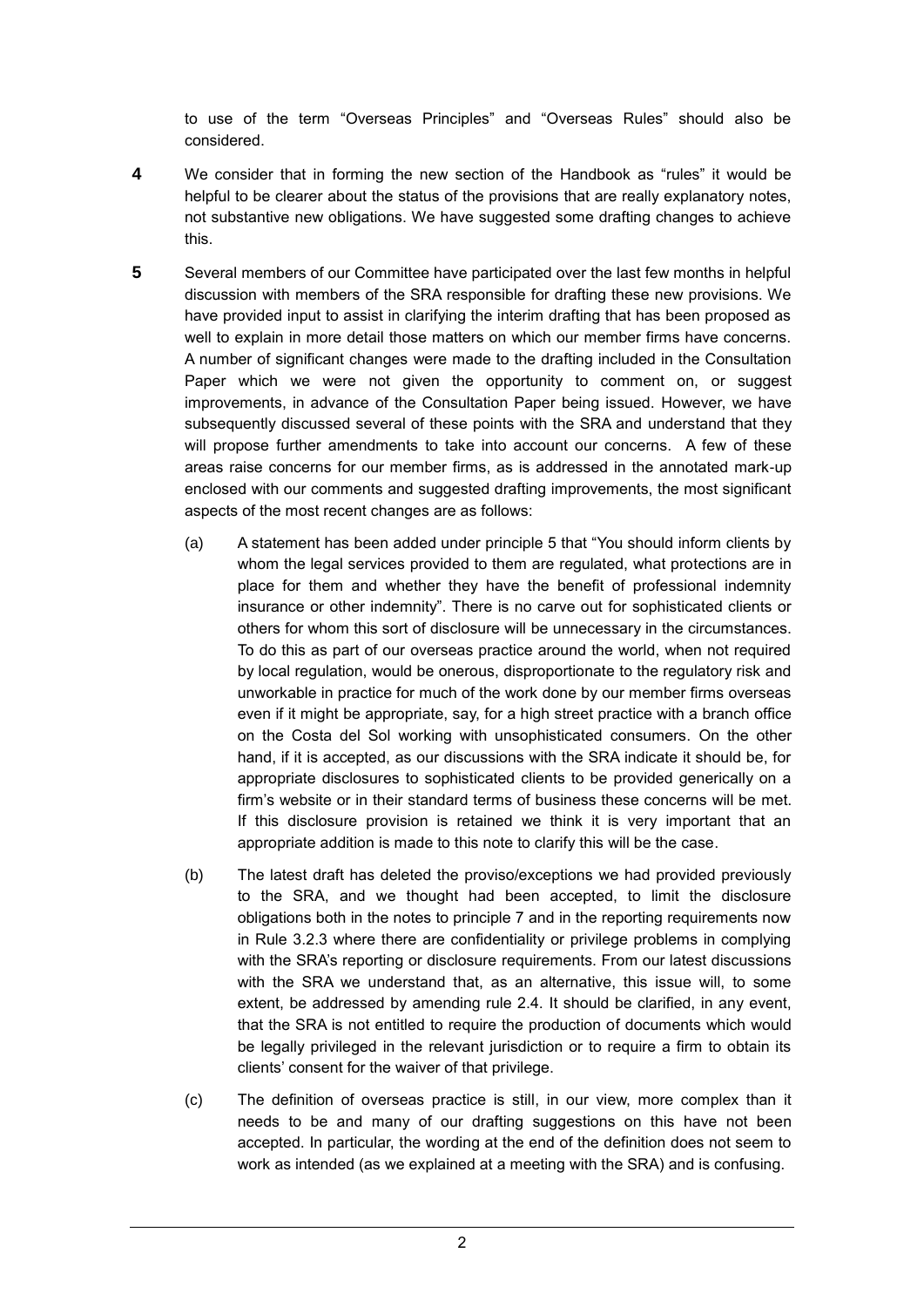to use of the term "Overseas Principles" and "Overseas Rules" should also be considered.

- **4** We consider that in forming the new section of the Handbook as "rules" it would be helpful to be clearer about the status of the provisions that are really explanatory notes, not substantive new obligations. We have suggested some drafting changes to achieve this.
- **5** Several members of our Committee have participated over the last few months in helpful discussion with members of the SRA responsible for drafting these new provisions. We have provided input to assist in clarifying the interim drafting that has been proposed as well to explain in more detail those matters on which our member firms have concerns. A number of significant changes were made to the drafting included in the Consultation Paper which we were not given the opportunity to comment on, or suggest improvements, in advance of the Consultation Paper being issued. However, we have subsequently discussed several of these points with the SRA and understand that they will propose further amendments to take into account our concerns. A few of these areas raise concerns for our member firms, as is addressed in the annotated mark-up enclosed with our comments and suggested drafting improvements, the most significant aspects of the most recent changes are as follows:
	- (a) A statement has been added under principle 5 that "You should inform clients by whom the legal services provided to them are regulated, what protections are in place for them and whether they have the benefit of professional indemnity insurance or other indemnity". There is no carve out for sophisticated clients or others for whom this sort of disclosure will be unnecessary in the circumstances. To do this as part of our overseas practice around the world, when not required by local regulation, would be onerous, disproportionate to the regulatory risk and unworkable in practice for much of the work done by our member firms overseas even if it might be appropriate, say, for a high street practice with a branch office on the Costa del Sol working with unsophisticated consumers. On the other hand, if it is accepted, as our discussions with the SRA indicate it should be, for appropriate disclosures to sophisticated clients to be provided generically on a firm's website or in their standard terms of business these concerns will be met. If this disclosure provision is retained we think it is very important that an appropriate addition is made to this note to clarify this will be the case.
	- (b) The latest draft has deleted the proviso/exceptions we had provided previously to the SRA, and we thought had been accepted, to limit the disclosure obligations both in the notes to principle 7 and in the reporting requirements now in Rule 3.2.3 where there are confidentiality or privilege problems in complying with the SRA's reporting or disclosure requirements. From our latest discussions with the SRA we understand that, as an alternative, this issue will, to some extent, be addressed by amending rule 2.4. It should be clarified, in any event, that the SRA is not entitled to require the production of documents which would be legally privileged in the relevant jurisdiction or to require a firm to obtain its clients' consent for the waiver of that privilege.
	- (c) The definition of overseas practice is still, in our view, more complex than it needs to be and many of our drafting suggestions on this have not been accepted. In particular, the wording at the end of the definition does not seem to work as intended (as we explained at a meeting with the SRA) and is confusing.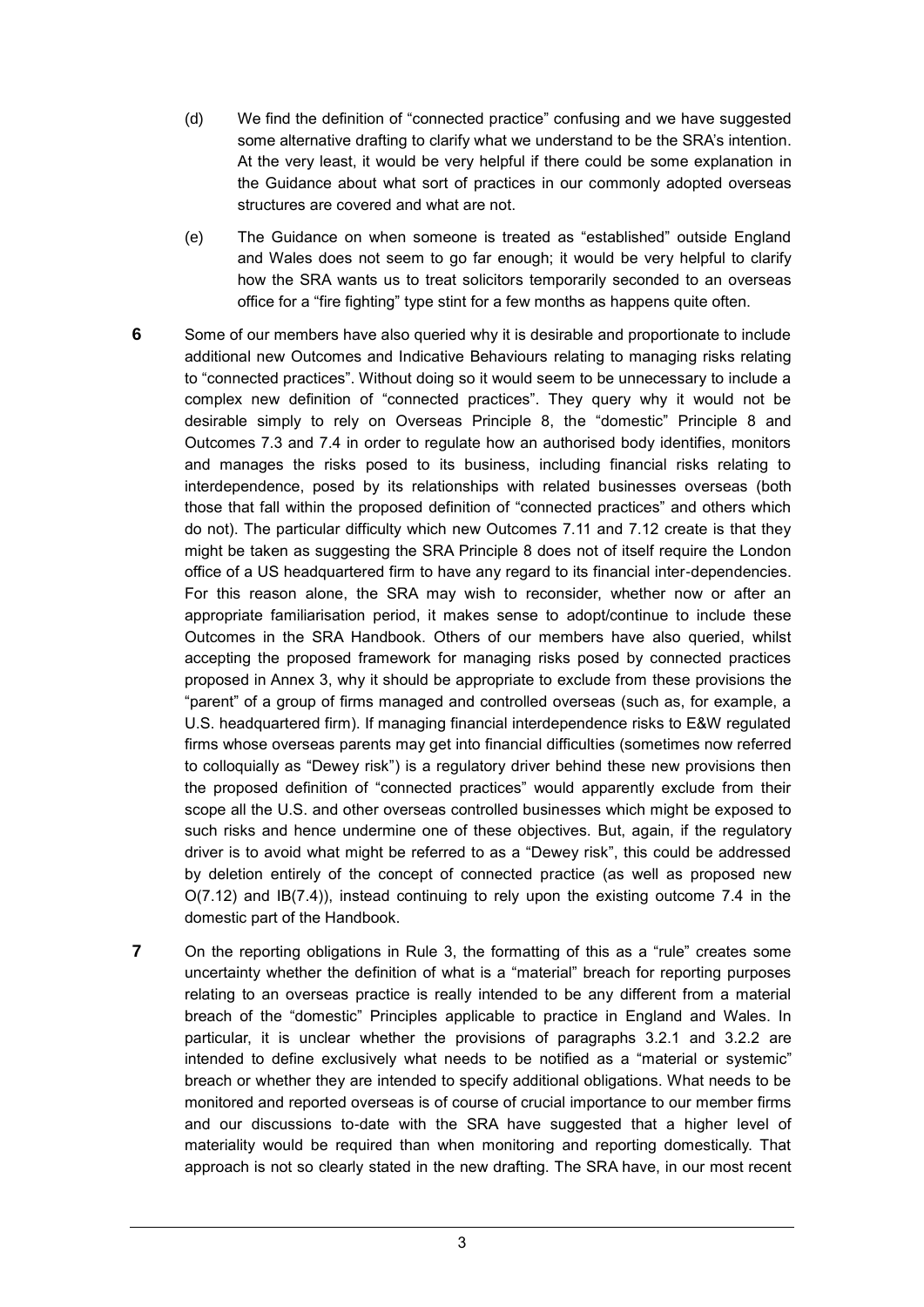- (d) We find the definition of "connected practice" confusing and we have suggested some alternative drafting to clarify what we understand to be the SRA's intention. At the very least, it would be very helpful if there could be some explanation in the Guidance about what sort of practices in our commonly adopted overseas structures are covered and what are not.
- (e) The Guidance on when someone is treated as "established" outside England and Wales does not seem to go far enough; it would be very helpful to clarify how the SRA wants us to treat solicitors temporarily seconded to an overseas office for a "fire fighting" type stint for a few months as happens quite often.
- **6** Some of our members have also queried why it is desirable and proportionate to include additional new Outcomes and Indicative Behaviours relating to managing risks relating to "connected practices". Without doing so it would seem to be unnecessary to include a complex new definition of "connected practices". They query why it would not be desirable simply to rely on Overseas Principle 8, the "domestic" Principle 8 and Outcomes 7.3 and 7.4 in order to regulate how an authorised body identifies, monitors and manages the risks posed to its business, including financial risks relating to interdependence, posed by its relationships with related businesses overseas (both those that fall within the proposed definition of "connected practices" and others which do not). The particular difficulty which new Outcomes 7.11 and 7.12 create is that they might be taken as suggesting the SRA Principle 8 does not of itself require the London office of a US headquartered firm to have any regard to its financial inter-dependencies. For this reason alone, the SRA may wish to reconsider, whether now or after an appropriate familiarisation period, it makes sense to adopt/continue to include these Outcomes in the SRA Handbook. Others of our members have also queried, whilst accepting the proposed framework for managing risks posed by connected practices proposed in Annex 3, why it should be appropriate to exclude from these provisions the "parent" of a group of firms managed and controlled overseas (such as, for example, a U.S. headquartered firm). If managing financial interdependence risks to E&W regulated firms whose overseas parents may get into financial difficulties (sometimes now referred to colloquially as "Dewey risk") is a regulatory driver behind these new provisions then the proposed definition of "connected practices" would apparently exclude from their scope all the U.S. and other overseas controlled businesses which might be exposed to such risks and hence undermine one of these objectives. But, again, if the regulatory driver is to avoid what might be referred to as a "Dewey risk", this could be addressed by deletion entirely of the concept of connected practice (as well as proposed new O(7.12) and IB(7.4)), instead continuing to rely upon the existing outcome 7.4 in the domestic part of the Handbook.
- **7** On the reporting obligations in Rule 3, the formatting of this as a "rule" creates some uncertainty whether the definition of what is a "material" breach for reporting purposes relating to an overseas practice is really intended to be any different from a material breach of the "domestic" Principles applicable to practice in England and Wales. In particular, it is unclear whether the provisions of paragraphs 3.2.1 and 3.2.2 are intended to define exclusively what needs to be notified as a "material or systemic" breach or whether they are intended to specify additional obligations. What needs to be monitored and reported overseas is of course of crucial importance to our member firms and our discussions to-date with the SRA have suggested that a higher level of materiality would be required than when monitoring and reporting domestically. That approach is not so clearly stated in the new drafting. The SRA have, in our most recent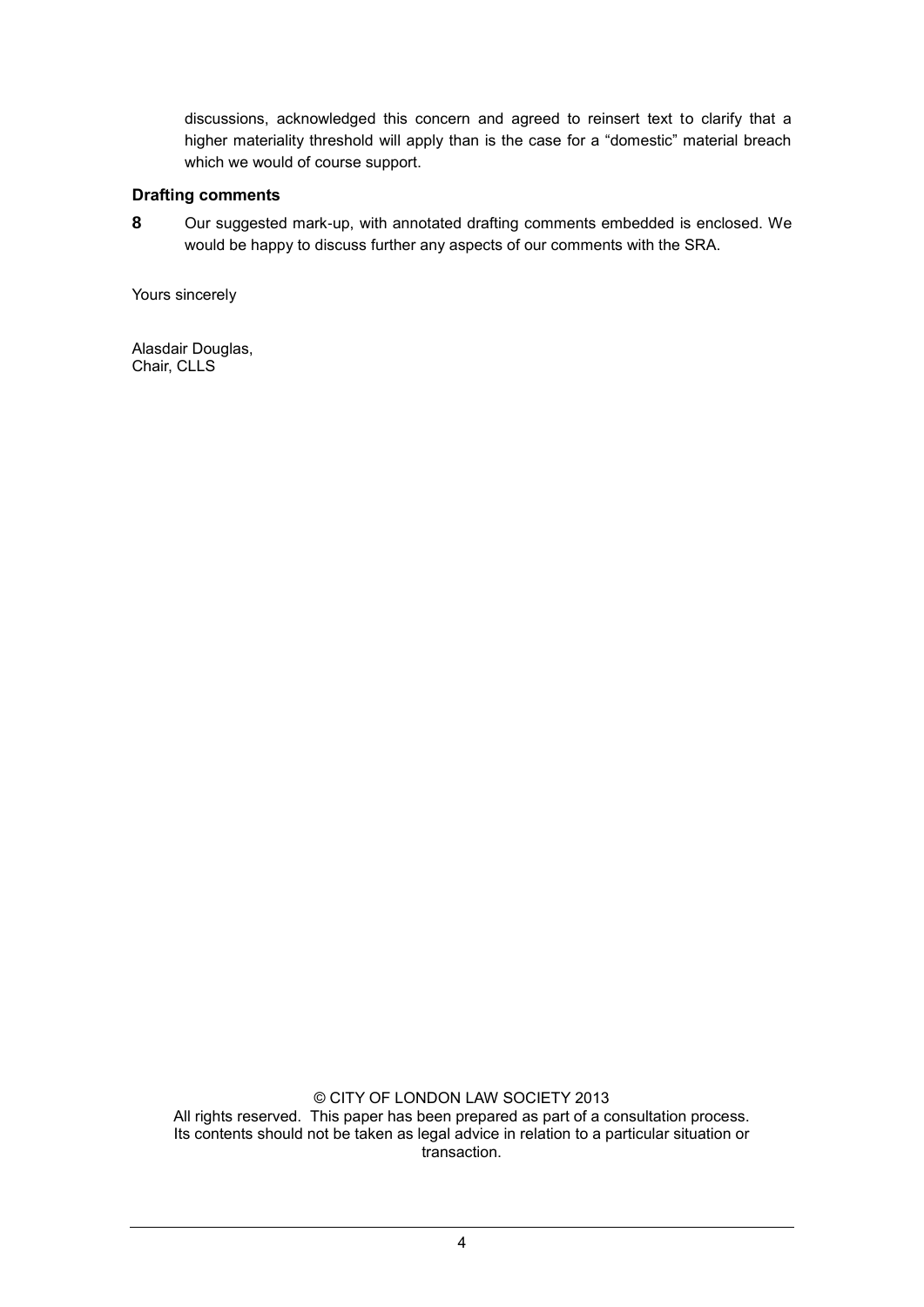discussions, acknowledged this concern and agreed to reinsert text to clarify that a higher materiality threshold will apply than is the case for a "domestic" material breach which we would of course support.

## **Drafting comments**

**8** Our suggested mark-up, with annotated drafting comments embedded is enclosed. We would be happy to discuss further any aspects of our comments with the SRA.

Yours sincerely

Alasdair Douglas, Chair, CLLS

> © CITY OF LONDON LAW SOCIETY 2013 All rights reserved. This paper has been prepared as part of a consultation process. Its contents should not be taken as legal advice in relation to a particular situation or transaction.